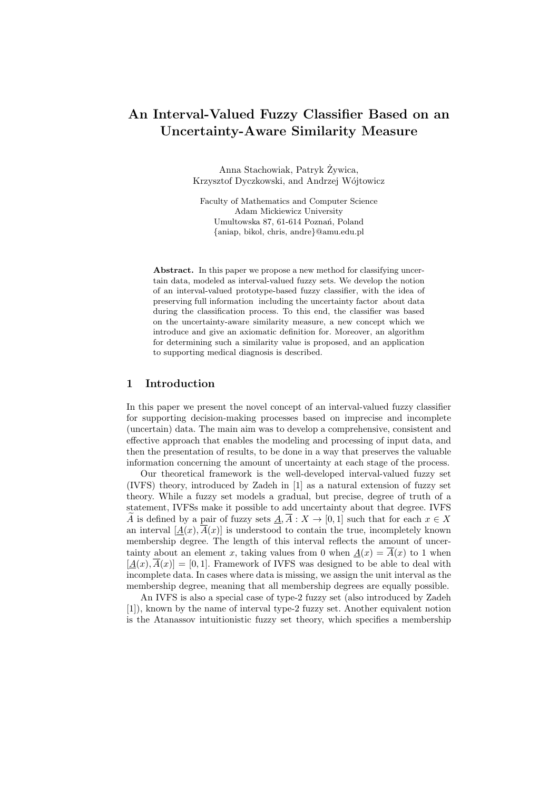# An Interval-Valued Fuzzy Classifier Based on an Uncertainty-Aware Similarity Measure

Anna Stachowiak, Patryk Żywica, Krzysztof Dyczkowski, and Andrzej Wójtowicz

Faculty of Mathematics and Computer Science Adam Mickiewicz University Umultowska 87, 61-614 Poznań, Poland {aniap, bikol, chris, andre}@amu.edu.pl

Abstract. In this paper we propose a new method for classifying uncertain data, modeled as interval-valued fuzzy sets. We develop the notion of an interval-valued prototype-based fuzzy classifier, with the idea of preserving full information including the uncertainty factor about data during the classification process. To this end, the classifier was based on the uncertainty-aware similarity measure, a new concept which we introduce and give an axiomatic definition for. Moreover, an algorithm for determining such a similarity value is proposed, and an application to supporting medical diagnosis is described.

## 1 Introduction

In this paper we present the novel concept of an interval-valued fuzzy classifier for supporting decision-making processes based on imprecise and incomplete (uncertain) data. The main aim was to develop a comprehensive, consistent and effective approach that enables the modeling and processing of input data, and then the presentation of results, to be done in a way that preserves the valuable information concerning the amount of uncertainty at each stage of the process.

Our theoretical framework is the well-developed interval-valued fuzzy set (IVFS) theory, introduced by Zadeh in [1] as a natural extension of fuzzy set theory. While a fuzzy set models a gradual, but precise, degree of truth of a statement, IVFSs make it possible to add uncertainty about that degree. IVFS A is defined by a pair of fuzzy sets  $A, \overline{A} : X \to [0, 1]$  such that for each  $x \in X$ an interval  $[A(x), \overline{A}(x)]$  is understood to contain the true, incompletely known membership degree. The length of this interval reflects the amount of uncertainty about an element x, taking values from 0 when  $A(x) = \overline{A}(x)$  to 1 when  $[A(x), \overline{A}(x)] = [0, 1]$ . Framework of IVFS was designed to be able to deal with incomplete data. In cases where data is missing, we assign the unit interval as the membership degree, meaning that all membership degrees are equally possible.

An IVFS is also a special case of type-2 fuzzy set (also introduced by Zadeh [1]), known by the name of interval type-2 fuzzy set. Another equivalent notion is the Atanassov intuitionistic fuzzy set theory, which specifies a membership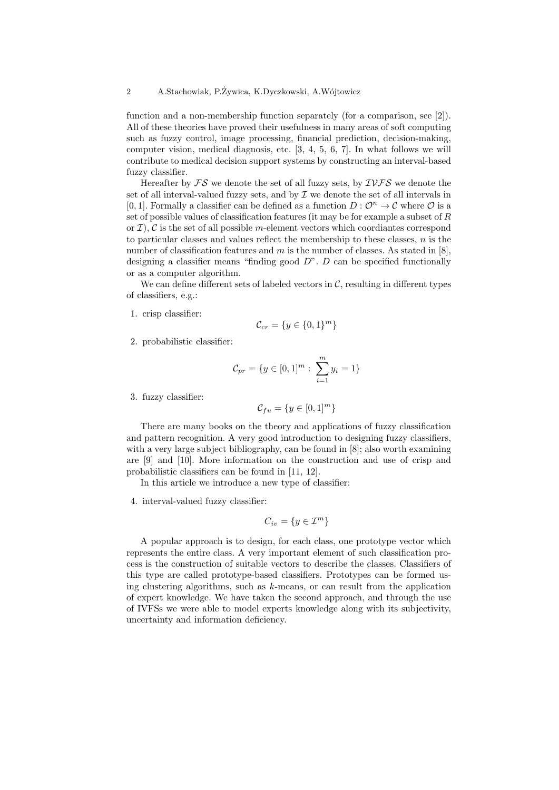## 2 A.Stachowiak, P.Żywica, K.Dyczkowski, A.Wójtowicz

function and a non-membership function separately (for a comparison, see [2]). All of these theories have proved their usefulness in many areas of soft computing such as fuzzy control, image processing, financial prediction, decision-making, computer vision, medical diagnosis, etc. [3, 4, 5, 6, 7]. In what follows we will contribute to medical decision support systems by constructing an interval-based fuzzy classifier.

Hereafter by  $FS$  we denote the set of all fuzzy sets, by  $TVFS$  we denote the set of all interval-valued fuzzy sets, and by  $\mathcal I$  we denote the set of all intervals in [0, 1]. Formally a classifier can be defined as a function  $D: \mathcal{O}^n \to \mathcal{C}$  where  $\mathcal{O}$  is a set of possible values of classification features (it may be for example a subset of R or  $\mathcal{I}$ ),  $\mathcal{C}$  is the set of all possible m-element vectors which coordiantes correspond to particular classes and values reflect the membership to these classes,  $n$  is the number of classification features and  $m$  is the number of classes. As stated in [8], designing a classifier means "finding good  $D$ ".  $D$  can be specified functionally or as a computer algorithm.

We can define different sets of labeled vectors in  $\mathcal{C}$ , resulting in different types of classifiers, e.g.:

1. crisp classifier:

$$
\mathcal{C}_{cr} = \{y \in \{0, 1\}^m\}
$$

2. probabilistic classifier:

$$
\mathcal{C}_{pr} = \{ y \in [0,1]^m: \sum_{i=1}^m y_i = 1 \}
$$

3. fuzzy classifier:

$$
\mathcal{C}_{fu} = \{ y \in [0,1]^m \}
$$

There are many books on the theory and applications of fuzzy classification and pattern recognition. A very good introduction to designing fuzzy classifiers, with a very large subject bibliography, can be found in [8]; also worth examining are [9] and [10]. More information on the construction and use of crisp and probabilistic classifiers can be found in [11, 12].

In this article we introduce a new type of classifier:

4. interval-valued fuzzy classifier:

$$
C_{iv} = \{ y \in \mathcal{I}^m \}
$$

A popular approach is to design, for each class, one prototype vector which represents the entire class. A very important element of such classification process is the construction of suitable vectors to describe the classes. Classifiers of this type are called prototype-based classifiers. Prototypes can be formed using clustering algorithms, such as k-means, or can result from the application of expert knowledge. We have taken the second approach, and through the use of IVFSs we were able to model experts knowledge along with its subjectivity, uncertainty and information deficiency.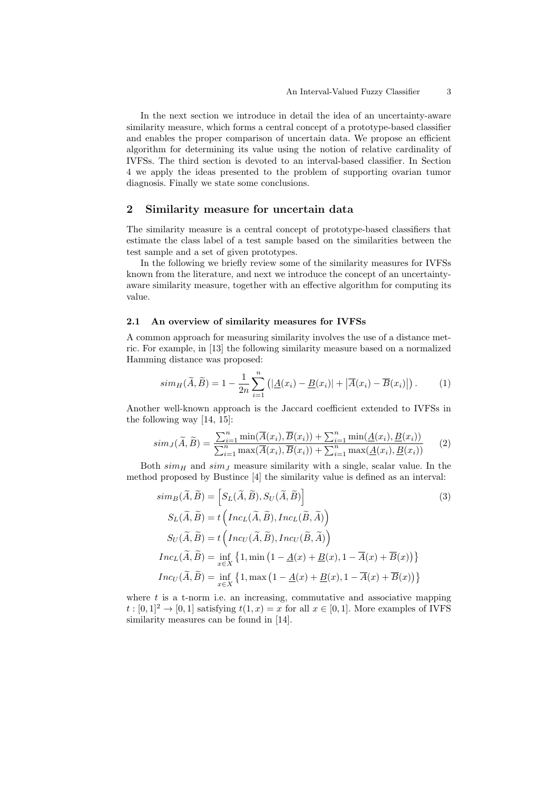In the next section we introduce in detail the idea of an uncertainty-aware similarity measure, which forms a central concept of a prototype-based classifier and enables the proper comparison of uncertain data. We propose an efficient algorithm for determining its value using the notion of relative cardinality of IVFSs. The third section is devoted to an interval-based classifier. In Section 4 we apply the ideas presented to the problem of supporting ovarian tumor diagnosis. Finally we state some conclusions.

## 2 Similarity measure for uncertain data

The similarity measure is a central concept of prototype-based classifiers that estimate the class label of a test sample based on the similarities between the test sample and a set of given prototypes.

In the following we briefly review some of the similarity measures for IVFSs known from the literature, and next we introduce the concept of an uncertaintyaware similarity measure, together with an effective algorithm for computing its value.

## 2.1 An overview of similarity measures for IVFSs

A common approach for measuring similarity involves the use of a distance metric. For example, in [13] the following similarity measure based on a normalized Hamming distance was proposed:

$$
sim_H(\widetilde{A}, \widetilde{B}) = 1 - \frac{1}{2n} \sum_{i=1}^n \left( \left| \underline{A}(x_i) - \underline{B}(x_i) \right| + \left| \overline{A}(x_i) - \overline{B}(x_i) \right| \right). \tag{1}
$$

Another well-known approach is the Jaccard coefficient extended to IVFSs in the following way [14, 15]:

$$
sim_J(\widetilde{A}, \widetilde{B}) = \frac{\sum_{i=1}^n \min(\overline{A}(x_i), \overline{B}(x_i)) + \sum_{i=1}^n \min(\underline{A}(x_i), \underline{B}(x_i))}{\sum_{i=1}^n \max(\overline{A}(x_i), \overline{B}(x_i)) + \sum_{i=1}^n \max(\underline{A}(x_i), \underline{B}(x_i))}
$$
(2)

Both  $\sin_H$  and  $\sin_H$  measure similarity with a single, scalar value. In the method proposed by Bustince [4] the similarity value is defined as an interval:

$$
sim_B(\widetilde{A}, \widetilde{B}) = \left[ S_L(\widetilde{A}, \widetilde{B}), S_U(\widetilde{A}, \widetilde{B}) \right]
$$
(3)  

$$
S_L(\widetilde{A}, \widetilde{B}) = t \left( Inc_L(\widetilde{A}, \widetilde{B}), Inc_L(\widetilde{B}, \widetilde{A}) \right)
$$
  

$$
S_U(\widetilde{A}, \widetilde{B}) = t \left( Inc_U(\widetilde{A}, \widetilde{B}), Inc_U(\widetilde{B}, \widetilde{A}) \right)
$$
  

$$
Inc_L(\widetilde{A}, \widetilde{B}) = \inf_{x \in X} \left\{ 1, \min \left( 1 - \underline{A}(x) + \underline{B}(x), 1 - \overline{A}(x) + \overline{B}(x) \right) \right\}
$$
  

$$
Inc_U(\widetilde{A}, \widetilde{B}) = \inf_{x \in X} \left\{ 1, \max \left( 1 - \underline{A}(x) + \underline{B}(x), 1 - \overline{A}(x) + \overline{B}(x) \right) \right\}
$$

where  $t$  is a t-norm i.e. an increasing, commutative and associative mapping  $t : [0,1]^2 \to [0,1]$  satisfying  $t(1,x) = x$  for all  $x \in [0,1]$ . More examples of IVFS similarity measures can be found in [14].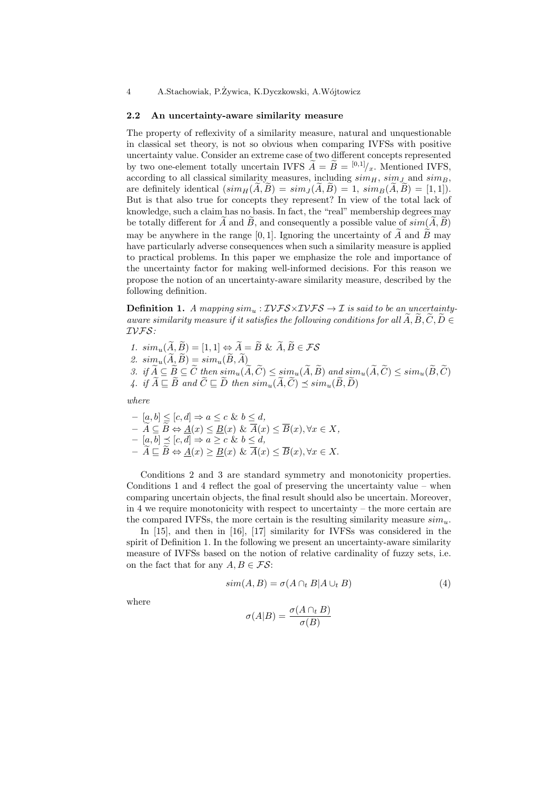#### 2.2 An uncertainty-aware similarity measure

The property of reflexivity of a similarity measure, natural and unquestionable in classical set theory, is not so obvious when comparing IVFSs with positive uncertainty value. Consider an extreme case of two different concepts represented by two one-element totally uncertain IVFS  $\widetilde{A} = \widetilde{B} = \frac{[0,1]}{x}$ . Mentioned IVFS, according to all classical similarity measures, including  $sim_H$ ,  $sim_J$  and  $sim_B$ , are definitely identical  $(sim_H(A, B) = sim_J(A, B) = 1, sim_B(A, B) = [1, 1]).$ But is that also true for concepts they represent? In view of the total lack of knowledge, such a claim has no basis. In fact, the "real" membership degrees may be totally different for A and B, and consequently a possible value of  $sim(A, B)$ may be anywhere in the range [0, 1]. Ignoring the uncertainty of  $\overline{A}$  and  $\overline{B}$  may have particularly adverse consequences when such a similarity measure is applied to practical problems. In this paper we emphasize the role and importance of the uncertainty factor for making well-informed decisions. For this reason we propose the notion of an uncertainty-aware similarity measure, described by the following definition.

**Definition 1.** A mapping  $\text{sim}_u : \text{IVFS} \times \text{IVFS} \rightarrow \text{I}$  is said to be an uncertaintyaware similarity measure if it satisfies the following conditions for all  $A, B, C, D \in$ IVFS:

1.  $sim_u(\widetilde{A}, \widetilde{B}) = [1, 1] \Leftrightarrow \widetilde{A} = \widetilde{B} \& \widetilde{A}, \widetilde{B} \in \mathcal{FS}$ 2.  $sim_u(\widetilde{A}, \widetilde{B}) = sim_u(\widetilde{B}, \widetilde{A})$ 3. if  $\widetilde{A} \subseteq \widetilde{B} \subseteq \widetilde{C}$  then  $sim_u(\widetilde{A}, \widetilde{C}) \leq sim_u(\widetilde{A}, \widetilde{B})$  and  $sim_u(\widetilde{A}, \widetilde{C}) \leq sim_u(\widetilde{B}, \widetilde{C})$ 4. if  $\widetilde{A} \subseteq \widetilde{B}$  and  $\widetilde{C} \subseteq \widetilde{D}$  then  $sim_u(\widetilde{A}, \widetilde{C}) \preceq sim_u(\widetilde{B}, \widetilde{D})$ 

where

$$
\begin{aligned}\n& - [a, b] \leq [c, d] \Rightarrow a \leq c \& b \leq d, \\
& - \widetilde{A} \subseteq \widetilde{B} \Leftrightarrow \underline{A}(x) \leq \underline{B}(x) \& \overline{A}(x) \leq \overline{B}(x), \forall x \in X, \\
& - [a, b] \preceq [c, d] \Rightarrow a \geq c \& b \leq d, \\
& - \widetilde{A} \sqsubseteq \widetilde{B} \Leftrightarrow \underline{A}(x) \geq \underline{B}(x) \& \overline{A}(x) \leq \overline{B}(x), \forall x \in X.\n\end{aligned}
$$

Conditions 2 and 3 are standard symmetry and monotonicity properties. Conditions 1 and 4 reflect the goal of preserving the uncertainty value – when comparing uncertain objects, the final result should also be uncertain. Moreover, in 4 we require monotonicity with respect to uncertainty – the more certain are the compared IVFSs, the more certain is the resulting similarity measure  $sim_u$ .

In [15], and then in [16], [17] similarity for IVFSs was considered in the spirit of Definition 1. In the following we present an uncertainty-aware similarity measure of IVFSs based on the notion of relative cardinality of fuzzy sets, i.e. on the fact that for any  $A, B \in \mathcal{FS}$ :

$$
sim(A, B) = \sigma(A \cap_t B | A \cup_t B)
$$
\n<sup>(4)</sup>

where

$$
\sigma(A|B) = \frac{\sigma(A \cap_t B)}{\sigma(B)}
$$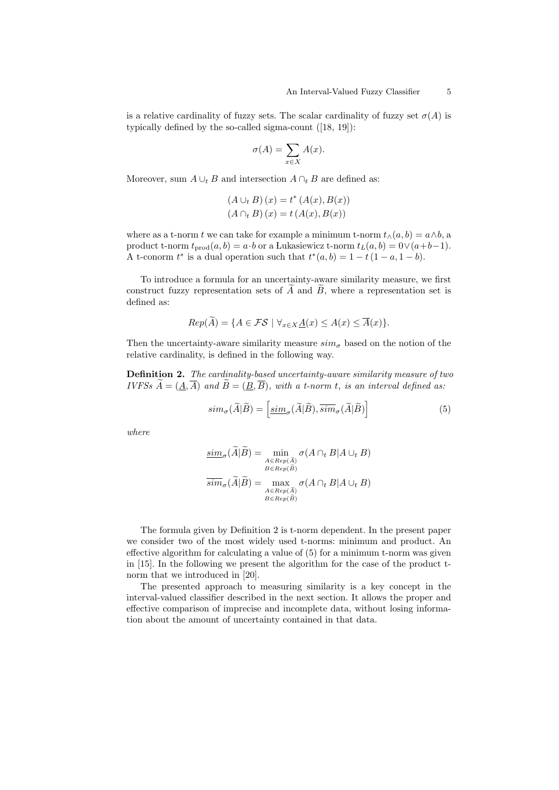is a relative cardinality of fuzzy sets. The scalar cardinality of fuzzy set  $\sigma(A)$  is typically defined by the so-called sigma-count ([18, 19]):

$$
\sigma(A) = \sum_{x \in X} A(x).
$$

Moreover, sum  $A \cup_t B$  and intersection  $A \cap_t B$  are defined as:

$$
(A \cup_t B)(x) = t^* (A(x), B(x))
$$
  

$$
(A \cap_t B)(x) = t (A(x), B(x))
$$

where as a t-norm t we can take for example a minimum t-norm  $t_0(a, b) = a \wedge b$ , a product t-norm  $t_{\text{prod}}(a, b) = a \cdot b$  or a Lukasiewicz t-norm  $t_L(a, b) = 0 \vee (a+b-1)$ . A t-conorm  $t^*$  is a dual operation such that  $t^*(a, b) = 1 - t(1 - a, 1 - b)$ .

To introduce a formula for an uncertainty-aware similarity measure, we first construct fuzzy representation sets of  $A$  and  $B$ , where a representation set is defined as:

$$
Rep(A) = \{ A \in \mathcal{FS} \mid \forall_{x \in X} \underline{A}(x) \le A(x) \le \overline{A}(x) \}.
$$

Then the uncertainty-aware similarity measure  $sim_\sigma$  based on the notion of the relative cardinality, is defined in the following way.

Definition 2. The cardinality-based uncertainty-aware similarity measure of two IVFSs  $\widetilde{A} = (\underline{A}, \overline{A})$  and  $\widetilde{B} = (\underline{B}, \overline{B})$ , with a t-norm t, is an interval defined as:

$$
sim_{\sigma}(\widetilde{A}|\widetilde{B}) = \left[\underline{sim}_{\sigma}(\widetilde{A}|\widetilde{B}), \overline{sim}_{\sigma}(\widetilde{A}|\widetilde{B})\right]
$$
(5)

where

$$
\underline{\underline{sim}}_{\sigma}(\widetilde{A}|\widetilde{B}) = \min_{\substack{A \in Rep(\widetilde{A}) \\ B \in Rep(\widetilde{B})}} \sigma(A \cap_t B|A \cup_t B)
$$

$$
\overline{\underline{sim}}_{\sigma}(\widetilde{A}|\widetilde{B}) = \max_{\substack{A \in Rep(\widetilde{A}) \\ B \in Rep(\widetilde{B})}} \sigma(A \cap_t B|A \cup_t B)
$$

The formula given by Definition 2 is t-norm dependent. In the present paper we consider two of the most widely used t-norms: minimum and product. An effective algorithm for calculating a value of  $(5)$  for a minimum t-norm was given in [15]. In the following we present the algorithm for the case of the product tnorm that we introduced in [20].

The presented approach to measuring similarity is a key concept in the interval-valued classifier described in the next section. It allows the proper and effective comparison of imprecise and incomplete data, without losing information about the amount of uncertainty contained in that data.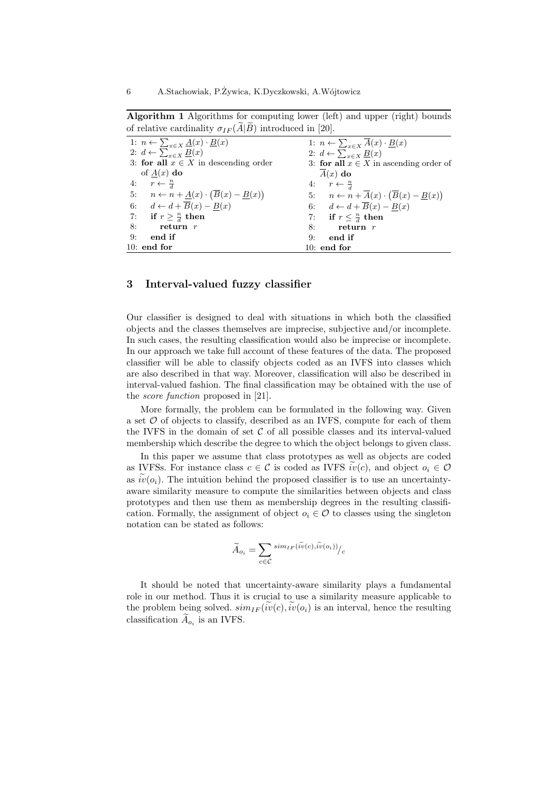|    | of follows to call alleastly $\sigma$ / $\mu$ (Fig. b) intersected in $\sigma$    |                                                                                  |  |
|----|-----------------------------------------------------------------------------------|----------------------------------------------------------------------------------|--|
|    | 1: $n \leftarrow \sum_{x \in X} \underline{A}(x) \cdot \underline{B}(x)$          | 1: $n \leftarrow \sum_{x \in X} \overline{A}(x) \cdot \underline{B}(x)$          |  |
|    | 2: $d \leftarrow \sum_{x \in X} \underline{B}(x)$                                 | 2: $d \leftarrow \sum_{x \in X} \underline{B}(x)$                                |  |
|    | 3: for all $x \in X$ in descending order                                          | 3: for all $x \in X$ in ascending order of                                       |  |
|    | of $A(x)$ do                                                                      | $A(x)$ do                                                                        |  |
|    | 4: $r \leftarrow \frac{n}{d}$                                                     | 4: $r \leftarrow \frac{n}{d}$                                                    |  |
|    | 5: $n \leftarrow n + \underline{A}(x) \cdot (\overline{B}(x) - \underline{B}(x))$ | 5: $n \leftarrow n + \overline{A}(x) \cdot (\overline{B}(x) - \underline{B}(x))$ |  |
|    | 6: $d \leftarrow d + \overline{B}(x) - B(x)$                                      | 6: $d \leftarrow d + \overline{B}(x) - \underline{B}(x)$                         |  |
|    | 7: if $r \geq \frac{n}{d}$ then                                                   | 7: if $r \leq \frac{n}{d}$ then                                                  |  |
| 8: | return $r$                                                                        | 8:<br>return $r$                                                                 |  |
| 9: | end if                                                                            | end if<br>9:                                                                     |  |
|    | $10:$ end for                                                                     | $10:$ end for                                                                    |  |

Algorithm 1 Algorithms for computing lower (left) and upper (right) bounds of relative cardinality  $\sigma_{IF}(\widetilde{A}|\widetilde{B})$  introduced in [20].

# 3 Interval-valued fuzzy classifier

Our classifier is designed to deal with situations in which both the classified objects and the classes themselves are imprecise, subjective and/or incomplete. In such cases, the resulting classification would also be imprecise or incomplete. In our approach we take full account of these features of the data. The proposed classifier will be able to classify objects coded as an IVFS into classes which are also described in that way. Moreover, classification will also be described in interval-valued fashion. The final classification may be obtained with the use of the score function proposed in [21].

More formally, the problem can be formulated in the following way. Given a set  $\mathcal O$  of objects to classify, described as an IVFS, compute for each of them the IVFS in the domain of set  $\mathcal C$  of all possible classes and its interval-valued membership which describe the degree to which the object belongs to given class.

In this paper we assume that class prototypes as well as objects are coded as IVFSs. For instance class  $c \in \mathcal{C}$  is coded as IVFS  $\widetilde{iv}(c)$ , and object  $o_i \in \mathcal{O}$ as  $\tilde{iv}(\rho_i)$ . The intuition behind the proposed classifier is to use an uncertaintyaware similarity measure to compute the similarities between objects and class prototypes and then use them as membership degrees in the resulting classification. Formally, the assignment of object  $o_i \in \mathcal{O}$  to classes using the singleton notation can be stated as follows:

$$
\widetilde{A}_{o_i} = \sum_{c \in \mathcal{C}} s^{im_{IF}(\widetilde{iv}(c), \widetilde{iv}(o_i))}/c
$$

It should be noted that uncertainty-aware similarity plays a fundamental role in our method. Thus it is crucial to use a similarity measure applicable to the problem being solved.  $\text{sim}_{IF}(iv(c), iv(o_i))$  is an interval, hence the resulting classification  $A_{o_i}$  is an IVFS.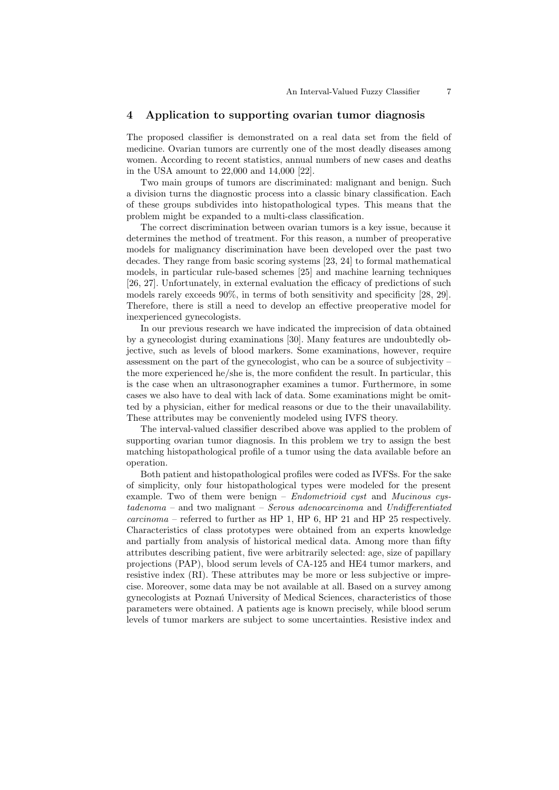## 4 Application to supporting ovarian tumor diagnosis

The proposed classifier is demonstrated on a real data set from the field of medicine. Ovarian tumors are currently one of the most deadly diseases among women. According to recent statistics, annual numbers of new cases and deaths in the USA amount to 22,000 and 14,000 [22].

Two main groups of tumors are discriminated: malignant and benign. Such a division turns the diagnostic process into a classic binary classification. Each of these groups subdivides into histopathological types. This means that the problem might be expanded to a multi-class classification.

The correct discrimination between ovarian tumors is a key issue, because it determines the method of treatment. For this reason, a number of preoperative models for malignancy discrimination have been developed over the past two decades. They range from basic scoring systems [23, 24] to formal mathematical models, in particular rule-based schemes [25] and machine learning techniques [26, 27]. Unfortunately, in external evaluation the efficacy of predictions of such models rarely exceeds 90%, in terms of both sensitivity and specificity [28, 29]. Therefore, there is still a need to develop an effective preoperative model for inexperienced gynecologists.

In our previous research we have indicated the imprecision of data obtained by a gynecologist during examinations [30]. Many features are undoubtedly objective, such as levels of blood markers. Some examinations, however, require assessment on the part of the gynecologist, who can be a source of subjectivity – the more experienced he/she is, the more confident the result. In particular, this is the case when an ultrasonographer examines a tumor. Furthermore, in some cases we also have to deal with lack of data. Some examinations might be omitted by a physician, either for medical reasons or due to the their unavailability. These attributes may be conveniently modeled using IVFS theory.

The interval-valued classifier described above was applied to the problem of supporting ovarian tumor diagnosis. In this problem we try to assign the best matching histopathological profile of a tumor using the data available before an operation.

Both patient and histopathological profiles were coded as IVFSs. For the sake of simplicity, only four histopathological types were modeled for the present example. Two of them were benign - Endometrioid cyst and Mucinous cystadenoma – and two malignant – Serous adenocarcinoma and Undifferentiated  $carcinoma$  – referred to further as HP 1, HP 6, HP 21 and HP 25 respectively. Characteristics of class prototypes were obtained from an experts knowledge and partially from analysis of historical medical data. Among more than fifty attributes describing patient, five were arbitrarily selected: age, size of papillary projections (PAP), blood serum levels of CA-125 and HE4 tumor markers, and resistive index (RI). These attributes may be more or less subjective or imprecise. Moreover, some data may be not available at all. Based on a survey among gynecologists at Poznań University of Medical Sciences, characteristics of those parameters were obtained. A patients age is known precisely, while blood serum levels of tumor markers are subject to some uncertainties. Resistive index and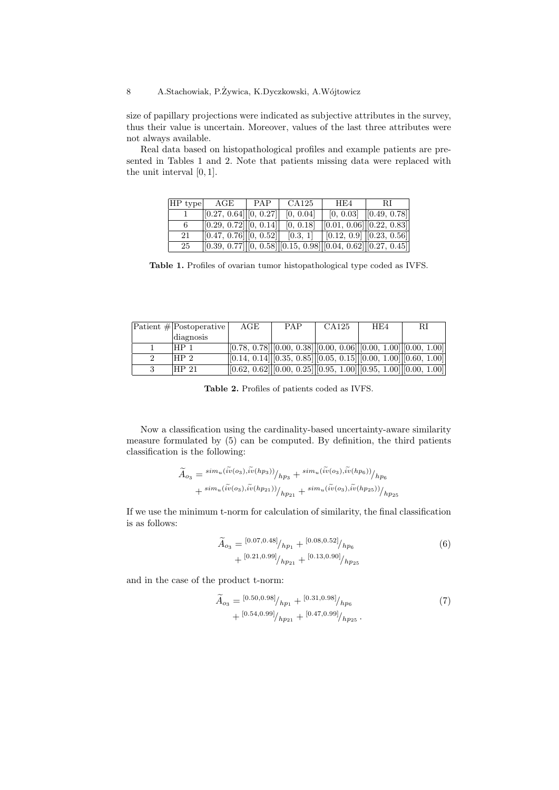size of papillary projections were indicated as subjective attributes in the survey, thus their value is uncertain. Moreover, values of the last three attributes were not always available.

Real data based on histopathological profiles and example patients are presented in Tables 1 and 2. Note that patients missing data were replaced with the unit interval [0, 1].

| HP type | $\rm{AGE}$             | <b>PAP</b> | CA125     | HE4 | -RI                                                                                                                                                                           |
|---------|------------------------|------------|-----------|-----|-------------------------------------------------------------------------------------------------------------------------------------------------------------------------------|
|         | [0.27, 0.64] [0, 0.27] |            | [0, 0.04] |     | $[0, 0.03]$ $ [0.49, 0.78] $                                                                                                                                                  |
| -6      | [0.29, 0.72] [0, 0.14] |            | [0, 0.18] |     | $\left  \left[ 0.01, 0.06 \right] \right  \left[ 0.22, 0.83 \right]$                                                                                                          |
| 21      |                        |            |           |     | $\vert [0.47, 0.76] \vert [0, 0.52] \vert [0.3, 1] \vert [0.12, 0.9] \vert [0.23, 0.56] \vert$                                                                                |
| 25      |                        |            |           |     | $\left  \left[ 0.39, 0.77 \right] \right  \left[ 0, 0.58 \right] \left  \left[ 0.15, 0.98 \right] \right  \left[ 0.04, 0.62 \right] \left  \left[ 0.27, 0.45 \right] \right $ |

Table 1. Profiles of ovarian tumor histopathological type coded as IVFS.

| Patient #Postoperative | $\rm{AGE}$                                                                             | <b>PAP</b> | CA125 | HF <sub>4</sub> | RI |
|------------------------|----------------------------------------------------------------------------------------|------------|-------|-----------------|----|
| diagnosis              |                                                                                        |            |       |                 |    |
| IHP 1                  | $[0.78, 0.78]$ $[0.00, 0.38]$ $[0.00, 0.06]$ $[0.00, 1.00]$ $[0.00, 1.00]$             |            |       |                 |    |
| HP <sub>2</sub>        | $(0.14, 0.14 \mid [0.35, 0.85] \mid [0.05, 0.15] \mid [0.00, 1.00] \mid [0.60, 1.00])$ |            |       |                 |    |
| HP 21                  | $[0.62, 0.62]$ $[0.00, 0.25]$ $[0.95, 1.00]$ $[0.95, 1.00]$ $[0.00, 1.00]$             |            |       |                 |    |

Table 2. Profiles of patients coded as IVFS.

Now a classification using the cardinality-based uncertainty-aware similarity measure formulated by (5) can be computed. By definition, the third patients classification is the following:

$$
\widetilde{A}_{o_3} = \frac{\sin_u(\widetilde{iv}(o_3), \widetilde{iv}(hp_3))}{\sin_u(\widetilde{iv}(o_3), \widetilde{iv}(hp_2))}\Big|_{hp_3} + \frac{\sin_u(\widetilde{iv}(o_3), \widetilde{iv}(hp_6))}{\sin_u(\widetilde{iv}(o_3), \widetilde{iv}(hp_25))}\Big|_{hp_{25}}
$$

If we use the minimum t-norm for calculation of similarity, the final classification is as follows:

$$
\widetilde{A}_{o_3} = \frac{[0.07, 0.48]}{h_{p_1} + [0.08, 0.52]} /_{hp_6}
$$
\n
$$
+ \frac{[0.21, 0.99]}{h_{p_2} + [0.13, 0.90]} /_{hp_{25}}
$$
\n(6)

and in the case of the product t-norm:

$$
\widetilde{A}_{o_3} = \frac{[0.50, 0.98]}{h_{p_1} + [0.31, 0.98]} /_{hp_6} + \frac{[0.54, 0.99]}{h_{p_{21}} + [0.47, 0.99]} /_{hp_{25}}.
$$
\n(7)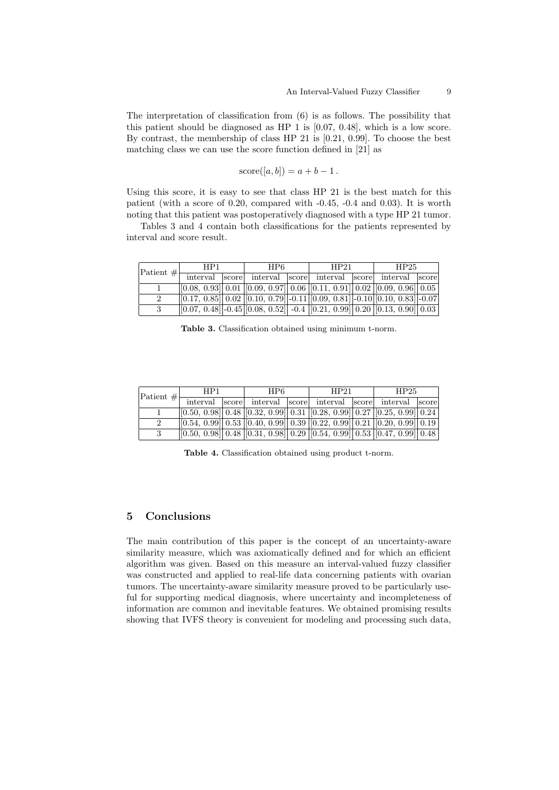The interpretation of classification from (6) is as follows. The possibility that this patient should be diagnosed as HP 1 is [0.07, 0.48], which is a low score. By contrast, the membership of class HP 21 is [0.21, 0.99]. To choose the best matching class we can use the score function defined in [21] as

$$
score([a, b]) = a + b - 1.
$$

Using this score, it is easy to see that class HP 21 is the best match for this patient (with a score of 0.20, compared with -0.45, -0.4 and 0.03). It is worth noting that this patient was postoperatively diagnosed with a type HP 21 tumor.

Tables 3 and 4 contain both classifications for the patients represented by interval and score result.

| Patient $#$ | HP1 |  | HP6 |  | HP21                                                                                      |  | HP25 |  |
|-------------|-----|--|-----|--|-------------------------------------------------------------------------------------------|--|------|--|
|             |     |  |     |  | interval score interval score interval score interval score                               |  |      |  |
|             |     |  |     |  | $(0.08, 0.93) 0.01 0.09, 0.97 0.06 0.11, 0.91 0.02 0.09, 0.96 0.05$                       |  |      |  |
|             |     |  |     |  | $(0.17, 0.85)[0.02]$ $(0.10, 0.79]$ $-0.11$ $(0.09, 0.81]$ $-0.10$ $(0.10, 0.83]$ $-0.07$ |  |      |  |
|             |     |  |     |  | $(0.07, 0.48)$ -0.45 $(0.08, 0.52)$ -0.4 $(0.21, 0.99)$ 0.20 $(0.13, 0.90)$ 0.03          |  |      |  |

Table 3. Classification obtained using minimum t-norm.

| Patient $#$ | HP1                                                                             |  | HP6 |  | HP21                                                        |  | HP25 |  |
|-------------|---------------------------------------------------------------------------------|--|-----|--|-------------------------------------------------------------|--|------|--|
|             |                                                                                 |  |     |  | interval score interval score interval score interval score |  |      |  |
|             | $(0.50, 0.98) 0.48 (0.32, 0.99) 0.31 (0.28, 0.99) 0.27 (0.25, 0.99) 0.24$       |  |     |  |                                                             |  |      |  |
|             | $(0.54, 0.99) 0.53$ $(0.40, 0.99) 0.39$ $(0.22, 0.99) 0.21$ $(0.20, 0.99) 0.19$ |  |     |  |                                                             |  |      |  |
|             | $(0.50, 0.98) 0.48$ $(0.31, 0.98) 0.29$ $(0.54, 0.99) 0.53$ $(0.47, 0.99) 0.48$ |  |     |  |                                                             |  |      |  |

Table 4. Classification obtained using product t-norm.

# 5 Conclusions

The main contribution of this paper is the concept of an uncertainty-aware similarity measure, which was axiomatically defined and for which an efficient algorithm was given. Based on this measure an interval-valued fuzzy classifier was constructed and applied to real-life data concerning patients with ovarian tumors. The uncertainty-aware similarity measure proved to be particularly useful for supporting medical diagnosis, where uncertainty and incompleteness of information are common and inevitable features. We obtained promising results showing that IVFS theory is convenient for modeling and processing such data,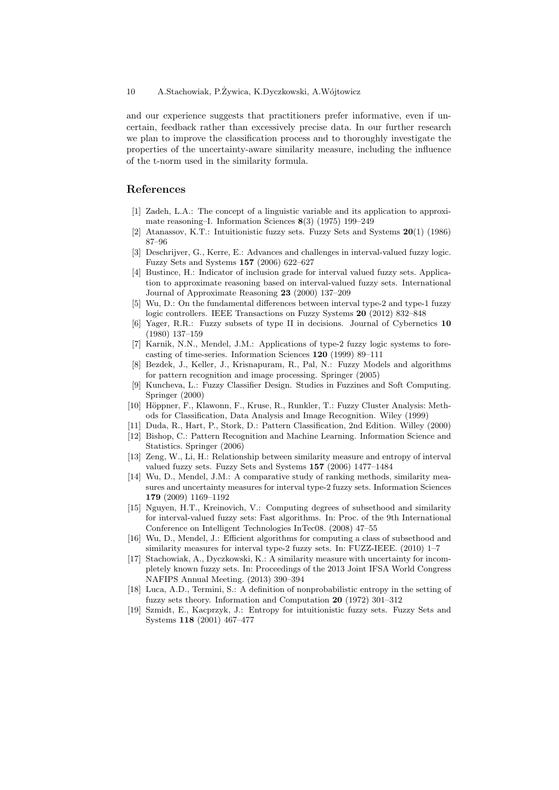and our experience suggests that practitioners prefer informative, even if uncertain, feedback rather than excessively precise data. In our further research we plan to improve the classification process and to thoroughly investigate the properties of the uncertainty-aware similarity measure, including the influence of the t-norm used in the similarity formula.

# References

- [1] Zadeh, L.A.: The concept of a linguistic variable and its application to approximate reasoning–I. Information Sciences 8(3) (1975) 199–249
- [2] Atanassov, K.T.: Intuitionistic fuzzy sets. Fuzzy Sets and Systems 20(1) (1986) 87–96
- [3] Deschrijver, G., Kerre, E.: Advances and challenges in interval-valued fuzzy logic. Fuzzy Sets and Systems 157 (2006) 622–627
- [4] Bustince, H.: Indicator of inclusion grade for interval valued fuzzy sets. Application to approximate reasoning based on interval-valued fuzzy sets. International Journal of Approximate Reasoning 23 (2000) 137–209
- [5] Wu, D.: On the fundamental differences between interval type-2 and type-1 fuzzy logic controllers. IEEE Transactions on Fuzzy Systems 20 (2012) 832–848
- [6] Yager, R.R.: Fuzzy subsets of type II in decisions. Journal of Cybernetics 10 (1980) 137–159
- [7] Karnik, N.N., Mendel, J.M.: Applications of type-2 fuzzy logic systems to forecasting of time-series. Information Sciences 120 (1999) 89–111
- [8] Bezdek, J., Keller, J., Krisnapuram, R., Pal, N.: Fuzzy Models and algorithms for pattern recognition and image processing. Springer (2005)
- [9] Kuncheva, L.: Fuzzy Classifier Design. Studies in Fuzzines and Soft Computing. Springer (2000)
- [10] Höppner, F., Klawonn, F., Kruse, R., Runkler, T.: Fuzzy Cluster Analysis: Methods for Classification, Data Analysis and Image Recognition. Wiley (1999)
- [11] Duda, R., Hart, P., Stork, D.: Pattern Classification, 2nd Edition. Willey (2000)
- [12] Bishop, C.: Pattern Recognition and Machine Learning. Information Science and Statistics. Springer (2006)
- [13] Zeng, W., Li, H.: Relationship between similarity measure and entropy of interval valued fuzzy sets. Fuzzy Sets and Systems 157 (2006) 1477–1484
- [14] Wu, D., Mendel, J.M.: A comparative study of ranking methods, similarity measures and uncertainty measures for interval type-2 fuzzy sets. Information Sciences 179 (2009) 1169–1192
- [15] Nguyen, H.T., Kreinovich, V.: Computing degrees of subsethood and similarity for interval-valued fuzzy sets: Fast algorithms. In: Proc. of the 9th International Conference on Intelligent Technologies InTec08. (2008) 47–55
- [16] Wu, D., Mendel, J.: Efficient algorithms for computing a class of subsethood and similarity measures for interval type-2 fuzzy sets. In: FUZZ-IEEE. (2010) 1–7
- [17] Stachowiak, A., Dyczkowski, K.: A similarity measure with uncertainty for incompletely known fuzzy sets. In: Proceedings of the 2013 Joint IFSA World Congress NAFIPS Annual Meeting. (2013) 390–394
- [18] Luca, A.D., Termini, S.: A definition of nonprobabilistic entropy in the setting of fuzzy sets theory. Information and Computation 20 (1972) 301–312
- [19] Szmidt, E., Kacprzyk, J.: Entropy for intuitionistic fuzzy sets. Fuzzy Sets and Systems 118 (2001) 467–477